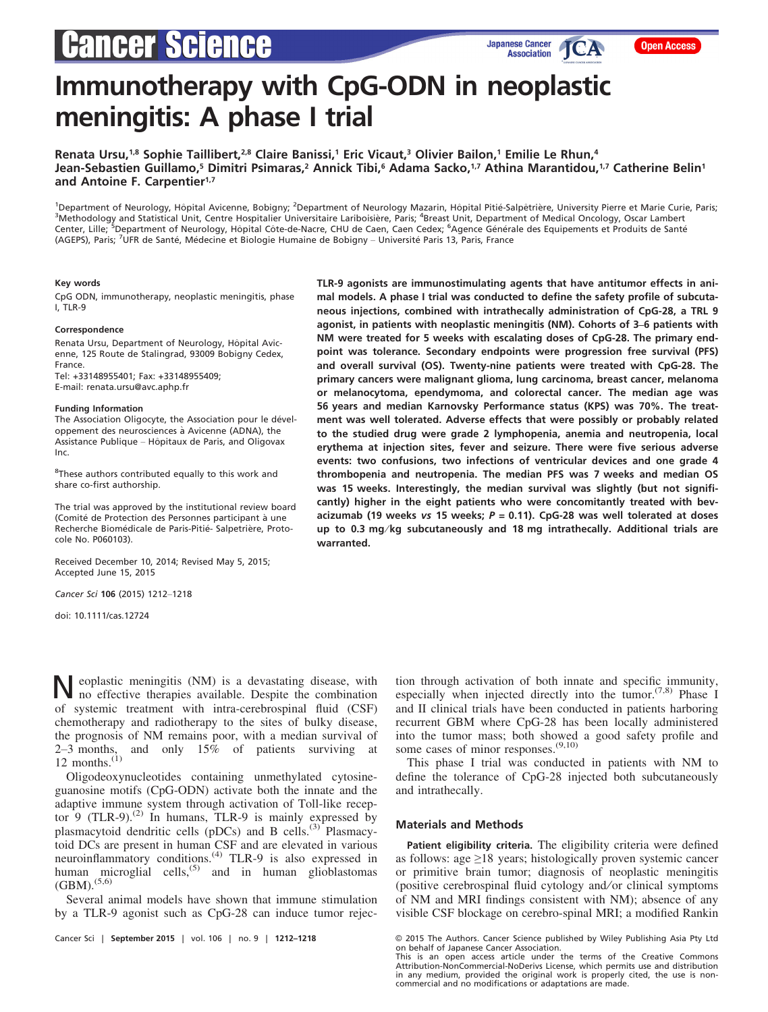# **Cancer Science**

# Immunotherapy with CpG-ODN in neoplastic meningitis: A phase I trial

Renata Ursu,<sup>1,8</sup> Sophie Taillibert,<sup>2,8</sup> Claire Banissi,<sup>1</sup> Eric Vicaut,<sup>3</sup> Olivier Bailon,<sup>1</sup> Emilie Le Rhun,<sup>4</sup> Jean-Sebastien Guillamo,<sup>5</sup> Dimitri Psimaras,<sup>2</sup> Annick Tibi,<sup>6</sup> Adama Sacko,<sup>1,7</sup> Athina Marantidou,<sup>1,7</sup> Catherine Belin<sup>1</sup> and Antoine F. Carpentier<sup>1,7</sup>

<sup>1</sup>Department of Neurology, Hôpital Avicenne, Bobigny; <sup>2</sup>Department of Neurology Mazarin, Hôpital Pitié-Salpêtrière, University Pierre et Marie Curie, Paris;<br><sup>3</sup>Methodology and Statistical Unit, Centre Hospitalier Univers Methodology and Statistical Unit, Centre Hospitalier Universitaire Lariboisière, Paris; <sup>4</sup>Breast Unit, Department of Medical Oncology, Oscar Lambert Center, Lille; <sup>5</sup>Department of Neurology, Hôpital Côte-de-Nacre, CHU de Caen, Caen Cedex; <sup>6</sup>Agence Générale des Equipements et Produits de Santé (AGEPS), Paris; <sup>7</sup>UFR de Santé, Médecine et Biologie Humaine de Bobigny – Université Paris 13, Paris, France

#### Key words

CpG ODN, immunotherapy, neoplastic meningitis, phase I, TLR-9

#### Correspondence

Renata Ursu, Department of Neurology, Hôpital Avicenne, 125 Route de Stalingrad, 93009 Bobigny Cedex, France. Tel: +33148955401; Fax: +33148955409; E-mail: renata.ursu@avc.aphp.fr

#### Funding Information

The Association Oligocyte, the Association pour le développement des neurosciences à Avicenne (ADNA), the Assistance Publique – Hôpitaux de Paris, and Oligovax Inc.

<sup>8</sup>These authors contributed equally to this work and share co-first authorship.

The trial was approved by the institutional review board (Comité de Protection des Personnes participant à une Recherche Biomédicale de Paris-Pitié- Salpetrière, Protocole No. P060103).

Received December 10, 2014; Revised May 5, 2015; Accepted June 15, 2015

Cancer Sci 106 (2015) 1212–1218

doi: 10.1111/cas.12724

TLR-9 agonists are immunostimulating agents that have antitumor effects in animal models. A phase I trial was conducted to define the safety profile of subcutaneous injections, combined with intrathecally administration of CpG-28, a TRL 9 agonist, in patients with neoplastic meningitis (NM). Cohorts of 3–6 patients with NM were treated for 5 weeks with escalating doses of CpG-28. The primary endpoint was tolerance. Secondary endpoints were progression free survival (PFS) and overall survival (OS). Twenty-nine patients were treated with CpG-28. The primary cancers were malignant glioma, lung carcinoma, breast cancer, melanoma or melanocytoma, ependymoma, and colorectal cancer. The median age was 56 years and median Karnovsky Performance status (KPS) was 70%. The treatment was well tolerated. Adverse effects that were possibly or probably related to the studied drug were grade 2 lymphopenia, anemia and neutropenia, local erythema at injection sites, fever and seizure. There were five serious adverse events: two confusions, two infections of ventricular devices and one grade 4 thrombopenia and neutropenia. The median PFS was 7 weeks and median OS was 15 weeks. Interestingly, the median survival was slightly (but not significantly) higher in the eight patients who were concomitantly treated with bevacizumab (19 weeks vs 15 weeks;  $P = 0.11$ ). CpG-28 was well tolerated at doses up to 0.3 mg/kg subcutaneously and 18 mg intrathecally. Additional trials are warranted.

Neoplastic meningitis (NM) is a devastating disease, with no effective therapies available. Despite the combination of systemic treatment with intra-cerebrospinal fluid (CSF) chemotherapy and radiotherapy to the sites of bulky disease, the prognosis of NM remains poor, with a median survival of 2–3 months, and only 15% of patients surviving at 12 months. $(1)$ 

Oligodeoxynucleotides containing unmethylated cytosineguanosine motifs (CpG-ODN) activate both the innate and the adaptive immune system through activation of Toll-like receptor 9 (TLR-9).<sup>(2)</sup> In humans, TLR-9 is mainly expressed by plasmacytoid dendritic cells (pDCs) and B cells.<sup>(3)</sup> Plasmacytoid DCs are present in human CSF and are elevated in various neuroinflammatory conditions.<sup>(4)</sup> TLR-9 is also expressed in human microglial cells,<sup>(5)</sup> and in human glioblastomas  $(BBM).^{(5,6)}$ 

Several animal models have shown that immune stimulation by a TLR-9 agonist such as CpG-28 can induce tumor rejec-

tion through activation of both innate and specific immunity, especially when injected directly into the tumor.<sup> $(7,8)$ </sup> Phase I and II clinical trials have been conducted in patients harboring recurrent GBM where CpG-28 has been locally administered into the tumor mass; both showed a good safety profile and some cases of minor responses. $^{(9,10)}$ 

This phase I trial was conducted in patients with NM to define the tolerance of CpG-28 injected both subcutaneously and intrathecally.

# Materials and Methods

Patient eligibility criteria. The eligibility criteria were defined as follows: age  $\geq$ 18 years; histologically proven systemic cancer or primitive brain tumor; diagnosis of neoplastic meningitis (positive cerebrospinal fluid cytology and ⁄ or clinical symptoms of NM and MRI findings consistent with NM); absence of any visible CSF blockage on cerebro-spinal MRI; a modified Rankin

Cancer Sci | September 2015 | vol. 106 | no. 9 | 1212–1218 © 2015 The Authors. Cancer Science published by Wiley Publishing Asia Pty Ltd on behalf of Japanese Cancer Association.

This is an open access article under the terms of the [Creative Commons](http://creativecommons.org/licenses/by-nc-nd/4.0/) [Attribution-NonCommercial-NoDerivs](http://creativecommons.org/licenses/by-nc-nd/4.0/) License, which permits use and distribution in any medium, provided the original work is properly cited, the use is noncommercial and no modifications or adaptations are made.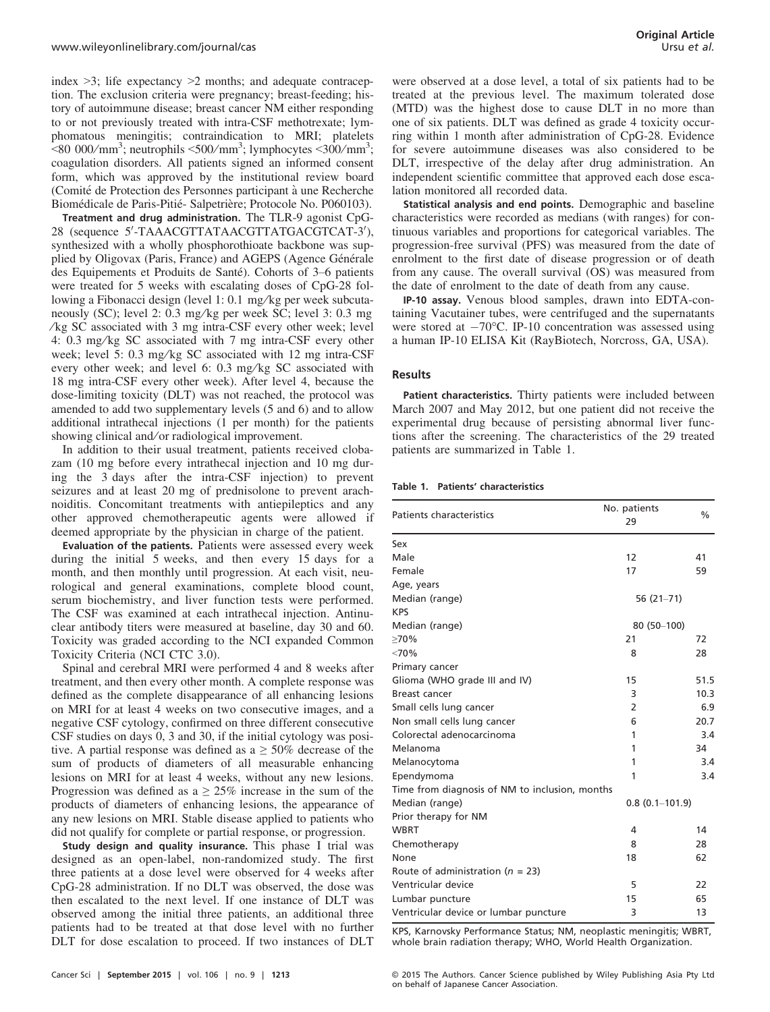index  $\geq$ 3; life expectancy  $\geq$ 2 months; and adequate contraception. The exclusion criteria were pregnancy; breast-feeding; history of autoimmune disease; breast cancer NM either responding to or not previously treated with intra-CSF methotrexate; lymphomatous meningitis; contraindication to MRI; platelets  $\approx$ 80 000/mm<sup>3</sup>; neutrophils  $\leq$ 500/mm<sup>3</sup>; lymphocytes  $\leq$ 300/mm<sup>3</sup>; coagulation disorders. All patients signed an informed consent form, which was approved by the institutional review board (Comité de Protection des Personnes participant à une Recherche Biomédicale de Paris-Pitié- Salpetrière; Protocole No. P060103).

Treatment and drug administration. The TLR-9 agonist CpG-28 (sequence 5'-TAAACGTTATAACGTTATGACGTCAT-3'), synthesized with a wholly phosphorothioate backbone was supplied by Oligovax (Paris, France) and AGEPS (Agence Générale des Equipements et Produits de Santé). Cohorts of 3-6 patients were treated for 5 weeks with escalating doses of CpG-28 following a Fibonacci design (level 1: 0.1 mg/kg per week subcutaneously (SC); level 2: 0.3 mg/kg per week SC; level 3: 0.3 mg ⁄ kg SC associated with 3 mg intra-CSF every other week; level 4: 0.3 mg/kg SC associated with 7 mg intra-CSF every other week; level 5: 0.3 mg/kg SC associated with 12 mg intra-CSF every other week; and level 6: 0.3 mg/kg SC associated with 18 mg intra-CSF every other week). After level 4, because the dose-limiting toxicity (DLT) was not reached, the protocol was amended to add two supplementary levels (5 and 6) and to allow additional intrathecal injections (1 per month) for the patients showing clinical and/or radiological improvement.

In addition to their usual treatment, patients received clobazam (10 mg before every intrathecal injection and 10 mg during the 3 days after the intra-CSF injection) to prevent seizures and at least 20 mg of prednisolone to prevent arachnoiditis. Concomitant treatments with antiepileptics and any other approved chemotherapeutic agents were allowed if deemed appropriate by the physician in charge of the patient.

Evaluation of the patients. Patients were assessed every week during the initial 5 weeks, and then every 15 days for a month, and then monthly until progression. At each visit, neurological and general examinations, complete blood count, serum biochemistry, and liver function tests were performed. The CSF was examined at each intrathecal injection. Antinuclear antibody titers were measured at baseline, day 30 and 60. Toxicity was graded according to the NCI expanded Common Toxicity Criteria (NCI CTC 3.0).

Spinal and cerebral MRI were performed 4 and 8 weeks after treatment, and then every other month. A complete response was defined as the complete disappearance of all enhancing lesions on MRI for at least 4 weeks on two consecutive images, and a negative CSF cytology, confirmed on three different consecutive CSF studies on days 0, 3 and 30, if the initial cytology was positive. A partial response was defined as  $a \geq 50\%$  decrease of the sum of products of diameters of all measurable enhancing lesions on MRI for at least 4 weeks, without any new lesions. Progression was defined as  $a \geq 25\%$  increase in the sum of the products of diameters of enhancing lesions, the appearance of any new lesions on MRI. Stable disease applied to patients who did not qualify for complete or partial response, or progression.

Study design and quality insurance. This phase I trial was designed as an open-label, non-randomized study. The first three patients at a dose level were observed for 4 weeks after CpG-28 administration. If no DLT was observed, the dose was then escalated to the next level. If one instance of DLT was observed among the initial three patients, an additional three patients had to be treated at that dose level with no further DLT for dose escalation to proceed. If two instances of DLT were observed at a dose level, a total of six patients had to be treated at the previous level. The maximum tolerated dose (MTD) was the highest dose to cause DLT in no more than one of six patients. DLT was defined as grade 4 toxicity occurring within 1 month after administration of CpG-28. Evidence for severe autoimmune diseases was also considered to be DLT, irrespective of the delay after drug administration. An independent scientific committee that approved each dose escalation monitored all recorded data.

Statistical analysis and end points. Demographic and baseline characteristics were recorded as medians (with ranges) for continuous variables and proportions for categorical variables. The progression-free survival (PFS) was measured from the date of enrolment to the first date of disease progression or of death from any cause. The overall survival (OS) was measured from the date of enrolment to the date of death from any cause.

IP-10 assay. Venous blood samples, drawn into EDTA-containing Vacutainer tubes, were centrifuged and the supernatants were stored at  $-70^{\circ}$ C. IP-10 concentration was assessed using a human IP-10 ELISA Kit (RayBiotech, Norcross, GA, USA).

### **Results**

Patient characteristics. Thirty patients were included between March 2007 and May 2012, but one patient did not receive the experimental drug because of persisting abnormal liver functions after the screening. The characteristics of the 29 treated patients are summarized in Table 1.

# Table 1. Patients' characteristics

| Patients characteristics                       | No. patients<br>29 | $\frac{0}{0}$ |
|------------------------------------------------|--------------------|---------------|
| Sex                                            |                    |               |
| Male                                           | 12                 | 41            |
| Female                                         | 17                 | 59            |
| Age, years                                     |                    |               |
| Median (range)                                 | $56(21-71)$        |               |
| <b>KPS</b>                                     |                    |               |
| Median (range)                                 | $80(50-100)$       |               |
| >70%                                           | 21                 | 72            |
| <70%                                           | 8                  | 28            |
| Primary cancer                                 |                    |               |
| Glioma (WHO grade III and IV)                  | 15                 | 51.5          |
| Breast cancer                                  | 3                  | 10.3          |
| Small cells lung cancer                        | $\overline{2}$     | 6.9           |
| Non small cells lung cancer                    | 6                  | 20.7          |
| Colorectal adenocarcinoma                      | 1                  | 3.4           |
| Melanoma                                       | 1                  | 34            |
| Melanocytoma                                   | 1                  | 3.4           |
| Ependymoma                                     | 1                  | 3.4           |
| Time from diagnosis of NM to inclusion, months |                    |               |
| Median (range)                                 | $0.8(0.1-101.9)$   |               |
| Prior therapy for NM                           |                    |               |
| <b>WBRT</b>                                    | 4                  | 14            |
| Chemotherapy                                   | 8                  | 28            |
| None                                           | 18                 | 62            |
| Route of administration ( $n = 23$ )           |                    |               |
| Ventricular device                             | 5                  | 22            |
| Lumbar puncture                                | 15                 | 65            |
| Ventricular device or lumbar puncture          | 3                  | 13            |

KPS, Karnovsky Performance Status; NM, neoplastic meningitis; WBRT, whole brain radiation therapy; WHO, World Health Organization.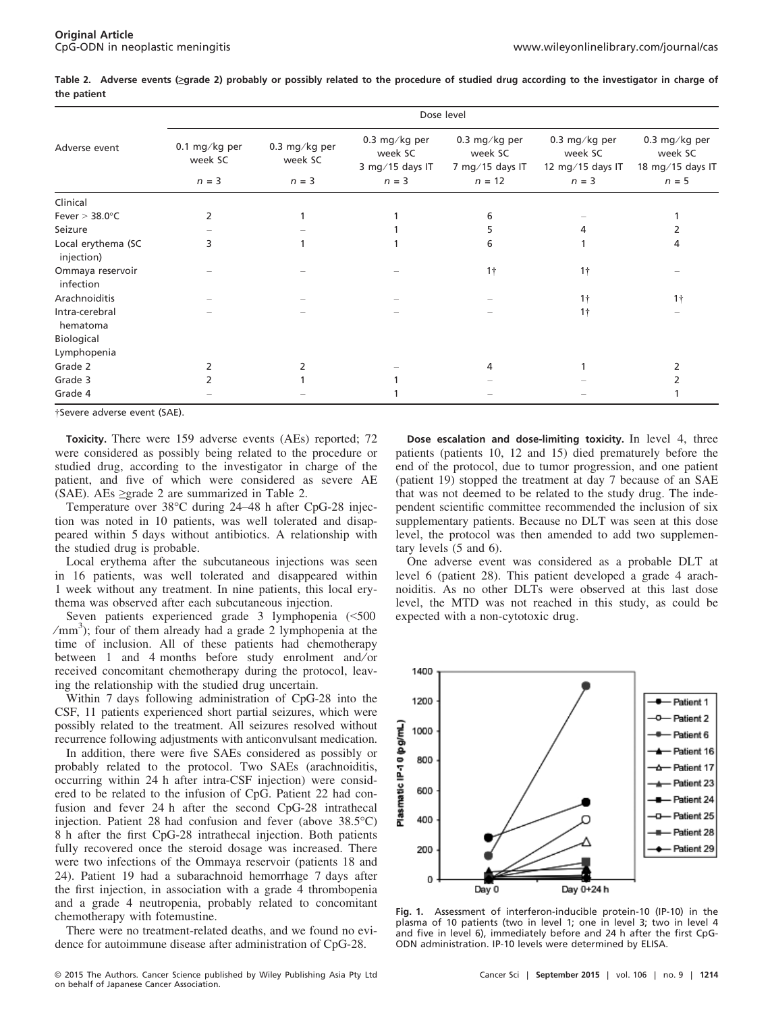Table 2. Adverse events (≥grade 2) probably or possibly related to the procedure of studied drug according to the investigator in charge of the patient

| Adverse event                    | Dose level                          |                                     |                                                        |                                                         |                                                         |                                                         |  |
|----------------------------------|-------------------------------------|-------------------------------------|--------------------------------------------------------|---------------------------------------------------------|---------------------------------------------------------|---------------------------------------------------------|--|
|                                  | 0.1 mg/kg per<br>week SC<br>$n = 3$ | 0.3 mg/kg per<br>week SC<br>$n = 3$ | 0.3 mg/kg per<br>week SC<br>3 mg/15 days IT<br>$n = 3$ | 0.3 mg/kg per<br>week SC<br>7 mg/15 days IT<br>$n = 12$ | 0.3 mg/kg per<br>week SC<br>12 mg/15 days IT<br>$n = 3$ | 0.3 mg/kg per<br>week SC<br>18 mg/15 days IT<br>$n = 5$ |  |
| Clinical                         |                                     |                                     |                                                        |                                                         |                                                         |                                                         |  |
| Fever $> 38.0$ °C                | 2                                   |                                     |                                                        | 6                                                       |                                                         |                                                         |  |
| Seizure                          |                                     |                                     |                                                        | 5                                                       | Δ                                                       |                                                         |  |
| Local erythema (SC<br>injection) | 3                                   |                                     |                                                        | 6                                                       |                                                         | 4                                                       |  |
| Ommaya reservoir<br>infection    |                                     |                                     |                                                        | $1+$                                                    | $1\dagger$                                              |                                                         |  |
| Arachnoiditis                    |                                     |                                     |                                                        |                                                         | $1+$                                                    | 1 <sup>†</sup>                                          |  |
| Intra-cerebral<br>hematoma       |                                     |                                     |                                                        |                                                         | $1\dagger$                                              |                                                         |  |
| Biological                       |                                     |                                     |                                                        |                                                         |                                                         |                                                         |  |
| Lymphopenia                      |                                     |                                     |                                                        |                                                         |                                                         |                                                         |  |
| Grade 2                          |                                     |                                     |                                                        | 4                                                       |                                                         |                                                         |  |
| Grade 3                          |                                     |                                     |                                                        |                                                         |                                                         |                                                         |  |
| Grade 4                          |                                     |                                     |                                                        |                                                         |                                                         |                                                         |  |

†Severe adverse event (SAE).

Toxicity. There were 159 adverse events (AEs) reported; 72 were considered as possibly being related to the procedure or studied drug, according to the investigator in charge of the patient, and five of which were considered as severe AE (SAE). AEs  $\geq$ grade 2 are summarized in Table 2.

Temperature over 38°C during 24–48 h after CpG-28 injection was noted in 10 patients, was well tolerated and disappeared within 5 days without antibiotics. A relationship with the studied drug is probable.

Local erythema after the subcutaneous injections was seen in 16 patients, was well tolerated and disappeared within 1 week without any treatment. In nine patients, this local erythema was observed after each subcutaneous injection.

Seven patients experienced grade 3 lymphopenia (<500 /mm<sup>3</sup>); four of them already had a grade 2 lymphopenia at the time of inclusion. All of these patients had chemotherapy between 1 and 4 months before study enrolment and/or received concomitant chemotherapy during the protocol, leaving the relationship with the studied drug uncertain.

Within 7 days following administration of CpG-28 into the CSF, 11 patients experienced short partial seizures, which were possibly related to the treatment. All seizures resolved without recurrence following adjustments with anticonvulsant medication.

In addition, there were five SAEs considered as possibly or probably related to the protocol. Two SAEs (arachnoiditis, occurring within 24 h after intra-CSF injection) were considered to be related to the infusion of CpG. Patient 22 had confusion and fever 24 h after the second CpG-28 intrathecal injection. Patient 28 had confusion and fever (above 38.5°C) 8 h after the first CpG-28 intrathecal injection. Both patients fully recovered once the steroid dosage was increased. There were two infections of the Ommaya reservoir (patients 18 and 24). Patient 19 had a subarachnoid hemorrhage 7 days after the first injection, in association with a grade 4 thrombopenia and a grade 4 neutropenia, probably related to concomitant chemotherapy with fotemustine.

There were no treatment-related deaths, and we found no evidence for autoimmune disease after administration of CpG-28.

400 200

Dose escalation and dose-limiting toxicity. In level 4, three patients (patients 10, 12 and 15) died prematurely before the end of the protocol, due to tumor progression, and one patient (patient 19) stopped the treatment at day 7 because of an SAE that was not deemed to be related to the study drug. The independent scientific committee recommended the inclusion of six supplementary patients. Because no DLT was seen at this dose level, the protocol was then amended to add two supplementary levels (5 and 6).

One adverse event was considered as a probable DLT at level 6 (patient 28). This patient developed a grade 4 arachnoiditis. As no other DLTs were observed at this last dose level, the MTD was not reached in this study, as could be expected with a non-cytotoxic drug.



Fig. 1. Assessment of interferon-inducible protein-10 (IP-10) in the plasma of 10 patients (two in level 1; one in level 3; two in level 4 and five in level 6), immediately before and 24 h after the first CpG-ODN administration. IP-10 levels were determined by ELISA.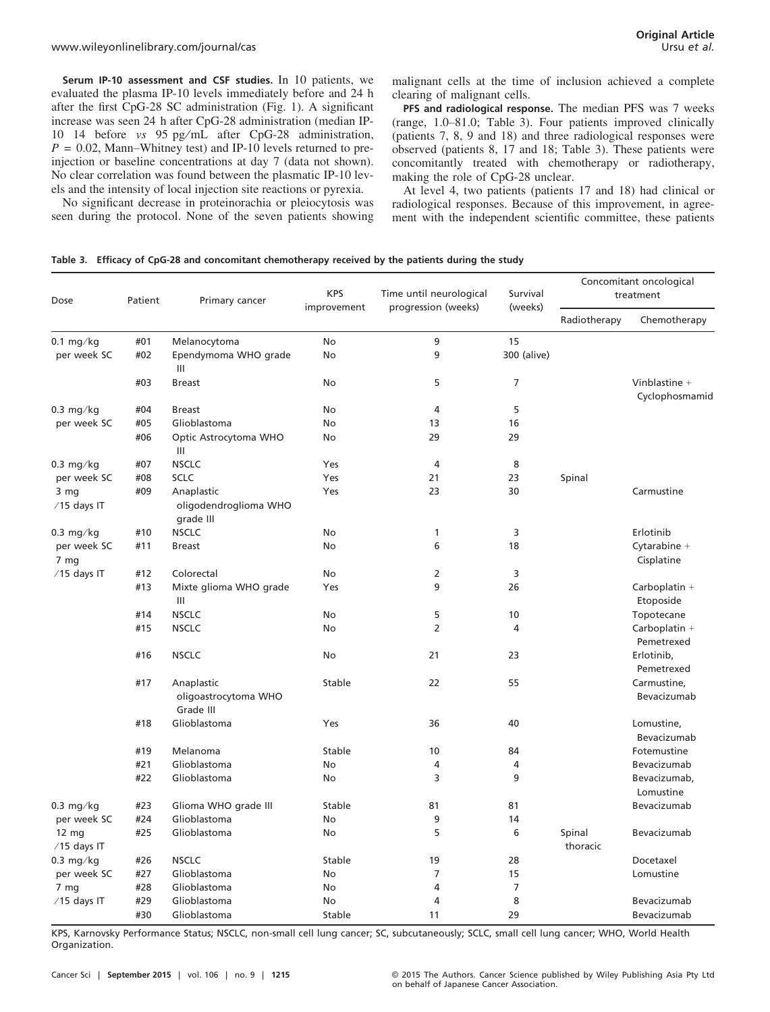Serum IP-10 assessment and CSF studies. In 10 patients, we evaluated the plasma IP-10 levels immediately before and 24 h after the first CpG-28 SC administration (Fig. 1). A significant increase was seen 24 h after CpG-28 administration (median IP-10 14 before vs 95 pg/mL after CpG-28 administration,  $P = 0.02$ , Mann–Whitney test) and IP-10 levels returned to preinjection or baseline concentrations at day 7 (data not shown). No clear correlation was found between the plasmatic IP-10 levels and the intensity of local injection site reactions or pyrexia.

No significant decrease in proteinorachia or pleiocytosis was seen during the protocol. None of the seven patients showing

malignant cells at the time of inclusion achieved a complete clearing of malignant cells.

PFS and radiological response. The median PFS was 7 weeks (range, 1.0–81.0; Table 3). Four patients improved clinically (patients 7, 8, 9 and 18) and three radiological responses were observed (patients 8, 17 and 18; Table 3). These patients were concomitantly treated with chemotherapy or radiotherapy, making the role of CpG-28 unclear.

At level 4, two patients (patients 17 and 18) had clinical or radiological responses. Because of this improvement, in agreement with the independent scientific committee, these patients

|  |  | Table 3. Efficacy of CpG-28 and concomitant chemotherapy received by the patients during the study |  |  |  |
|--|--|----------------------------------------------------------------------------------------------------|--|--|--|
|--|--|----------------------------------------------------------------------------------------------------|--|--|--|

| Dose                             | Patient    | Primary cancer                                   | <b>KPS</b><br>improvement | Time until neurological | Survival<br>(weeks) | Concomitant oncological<br>treatment |                                   |
|----------------------------------|------------|--------------------------------------------------|---------------------------|-------------------------|---------------------|--------------------------------------|-----------------------------------|
|                                  |            |                                                  |                           | progression (weeks)     |                     | Radiotherapy                         | Chemotherapy                      |
| $0.1$ mg/kg                      | #01        | Melanocytoma                                     | No                        | 9                       | 15                  |                                      |                                   |
| per week SC                      | #02        | Ependymoma WHO grade<br>$\mathbf{III}$           | No                        | 9                       | 300 (alive)         |                                      |                                   |
|                                  | #03        | <b>Breast</b>                                    | <b>No</b>                 | 5                       | 7                   |                                      | Vinblastine $+$<br>Cyclophosmamid |
| $0.3$ mg/kg                      | #04        | <b>Breast</b>                                    | <b>No</b>                 | $\overline{4}$          | 5                   |                                      |                                   |
| per week SC                      | #05        | Glioblastoma                                     | No                        | 13                      | 16                  |                                      |                                   |
|                                  | #06        | Optic Astrocytoma WHO<br>$\mathbf{III}$          | No                        | 29                      | 29                  |                                      |                                   |
| $0.3$ mg/kg                      | #07        | <b>NSCLC</b>                                     | Yes                       | $\overline{4}$          | 8                   |                                      |                                   |
| per week SC                      | #08        | <b>SCLC</b>                                      | Yes                       | 21                      | 23                  | Spinal                               |                                   |
| 3 mg<br>$/15$ days IT            | #09        | Anaplastic<br>oligodendroglioma WHO<br>grade III | Yes                       | 23                      | 30                  |                                      | Carmustine                        |
| $0.3$ mg/kg                      | #10        | <b>NSCLC</b>                                     | No                        | 1                       | 3                   |                                      | Erlotinib                         |
| per week SC<br>7 mg              | #11        | <b>Breast</b>                                    | <b>No</b>                 | 6                       | 18                  |                                      | Cytarabine +<br>Cisplatine        |
| $/15$ days IT                    | #12        | Colorectal                                       | No                        | 2                       | 3                   |                                      |                                   |
|                                  | #13        | Mixte glioma WHO grade<br>$\mathbf{III}$         | Yes                       | 9                       | 26                  |                                      | Carboplatin +<br>Etoposide        |
|                                  | #14        | <b>NSCLC</b>                                     | <b>No</b>                 | 5                       | 10                  |                                      | Topotecane                        |
|                                  | #15        | <b>NSCLC</b>                                     | No                        | $\overline{2}$          | 4                   |                                      | Carboplatin +<br>Pemetrexed       |
|                                  | #16        | <b>NSCLC</b>                                     | No                        | 21                      | 23                  |                                      | Erlotinib,<br>Pemetrexed          |
|                                  | #17        | Anaplastic<br>oligoastrocytoma WHO<br>Grade III  | Stable                    | 22                      | 55                  |                                      | Carmustine,<br>Bevacizumab        |
|                                  | #18        | Glioblastoma                                     | Yes                       | 36                      | 40                  |                                      | Lomustine,<br>Bevacizumab         |
|                                  | #19        | Melanoma                                         | Stable                    | 10                      | 84                  |                                      | Fotemustine                       |
|                                  | #21        | Glioblastoma                                     | <b>No</b>                 | 4                       | 4                   |                                      | Bevacizumab                       |
|                                  | #22        | Glioblastoma                                     | No                        | 3                       | 9                   |                                      | Bevacizumab,<br>Lomustine         |
| $0.3$ mg/kg                      | #23        | Glioma WHO grade III                             | Stable                    | 81                      | 81                  |                                      | Bevacizumab                       |
| per week SC                      | #24        | Glioblastoma                                     | <b>No</b>                 | 9                       | 14                  |                                      |                                   |
| $12 \text{ mg}$<br>$/15$ days IT | #25        | Glioblastoma                                     | No                        | 5                       | 6                   | Spinal<br>thoracic                   | Bevacizumab                       |
| $0.3 \text{ mg/kg}$              | #26        | <b>NSCLC</b>                                     | Stable                    | 19                      | 28                  |                                      | Docetaxel                         |
| per week SC                      | #27        | Glioblastoma                                     | No                        | $\overline{7}$          | 15                  |                                      | Lomustine                         |
| 7 mg                             | #28        | Glioblastoma                                     | No                        | 4                       | $\overline{7}$      |                                      |                                   |
| $/15$ days IT                    | #29<br>#30 | Glioblastoma<br>Glioblastoma                     | No<br>Stable              | 4<br>11                 | 8<br>29             |                                      | Bevacizumab<br>Bevacizumab        |
|                                  |            |                                                  |                           |                         |                     |                                      |                                   |

KPS, Karnovsky Performance Status; NSCLC, non-small cell lung cancer; SC, subcutaneously; SCLC, small cell lung cancer; WHO, World Health Organization.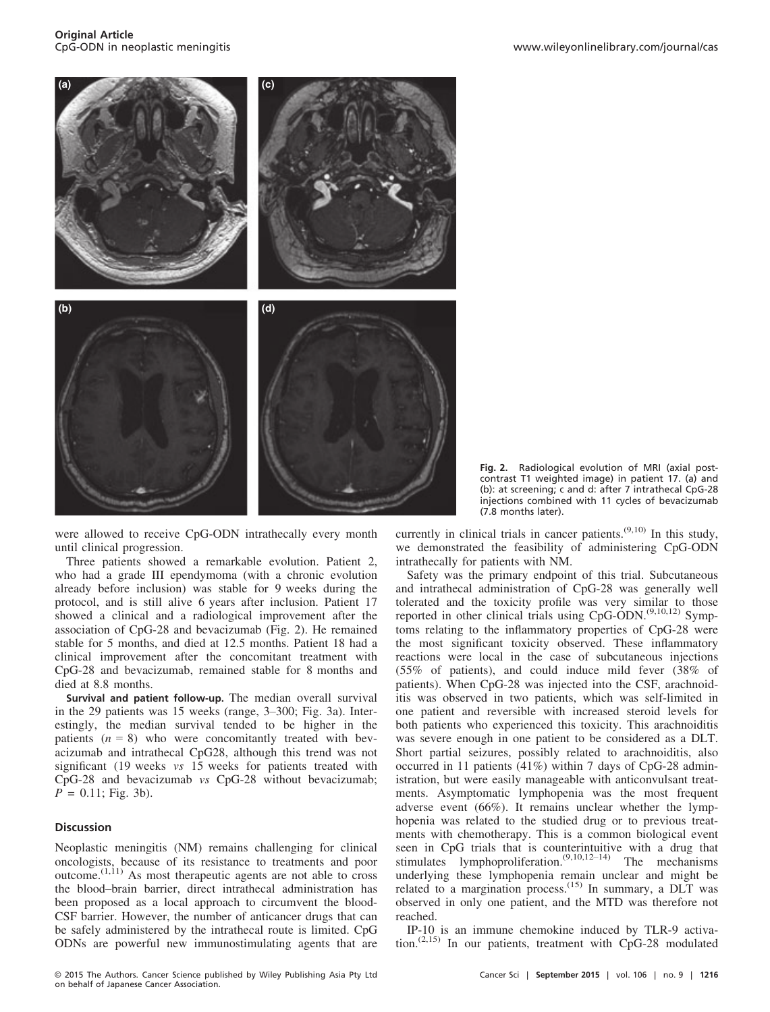Original Article<br>CpG-ODN in neoplastic meningitis



were allowed to receive CpG-ODN intrathecally every month until clinical progression.

Three patients showed a remarkable evolution. Patient 2, who had a grade III ependymoma (with a chronic evolution already before inclusion) was stable for 9 weeks during the protocol, and is still alive 6 years after inclusion. Patient 17 showed a clinical and a radiological improvement after the association of CpG-28 and bevacizumab (Fig. 2). He remained stable for 5 months, and died at 12.5 months. Patient 18 had a clinical improvement after the concomitant treatment with CpG-28 and bevacizumab, remained stable for 8 months and died at 8.8 months.

Survival and patient follow-up. The median overall survival in the 29 patients was 15 weeks (range, 3–300; Fig. 3a). Interestingly, the median survival tended to be higher in the patients  $(n = 8)$  who were concomitantly treated with bevacizumab and intrathecal CpG28, although this trend was not significant (19 weeks vs 15 weeks for patients treated with CpG-28 and bevacizumab vs CpG-28 without bevacizumab;  $P = 0.11$ ; Fig. 3b).

# Discussion

Neoplastic meningitis (NM) remains challenging for clinical oncologists, because of its resistance to treatments and poor  $o$ utcome.<sup> $(1,11)$ </sup> As most therapeutic agents are not able to cross the blood–brain barrier, direct intrathecal administration has been proposed as a local approach to circumvent the blood-CSF barrier. However, the number of anticancer drugs that can be safely administered by the intrathecal route is limited. CpG ODNs are powerful new immunostimulating agents that are Fig. 2. Radiological evolution of MRI (axial postcontrast T1 weighted image) in patient 17. (a) and (b): at screening; c and d: after 7 intrathecal CpG-28 injections combined with 11 cycles of bevacizumab (7.8 months later).

currently in clinical trials in cancer patients.(9,10) In this study, we demonstrated the feasibility of administering CpG-ODN intrathecally for patients with NM.

Safety was the primary endpoint of this trial. Subcutaneous and intrathecal administration of CpG-28 was generally well tolerated and the toxicity profile was very similar to those reported in other clinical trials using CpG-ODN.<sup>(9,10,12)</sup> Symptoms relating to the inflammatory properties of CpG-28 were the most significant toxicity observed. These inflammatory reactions were local in the case of subcutaneous injections (55% of patients), and could induce mild fever (38% of patients). When CpG-28 was injected into the CSF, arachnoiditis was observed in two patients, which was self-limited in one patient and reversible with increased steroid levels for both patients who experienced this toxicity. This arachnoiditis was severe enough in one patient to be considered as a DLT. Short partial seizures, possibly related to arachnoiditis, also occurred in 11 patients (41%) within 7 days of CpG-28 administration, but were easily manageable with anticonvulsant treatments. Asymptomatic lymphopenia was the most frequent adverse event (66%). It remains unclear whether the lymphopenia was related to the studied drug or to previous treatments with chemotherapy. This is a common biological event seen in CpG trials that is counterintuitive with a drug that stimulates lymphoproliferation.<sup>(9,10,12–14)</sup> The mechanisms underlying these lymphopenia remain unclear and might be related to a margination process.<sup>(15)</sup> In summary, a DLT was observed in only one patient, and the MTD was therefore not reached.

IP-10 is an immune chemokine induced by TLR-9 activation.(2,15) In our patients, treatment with CpG-28 modulated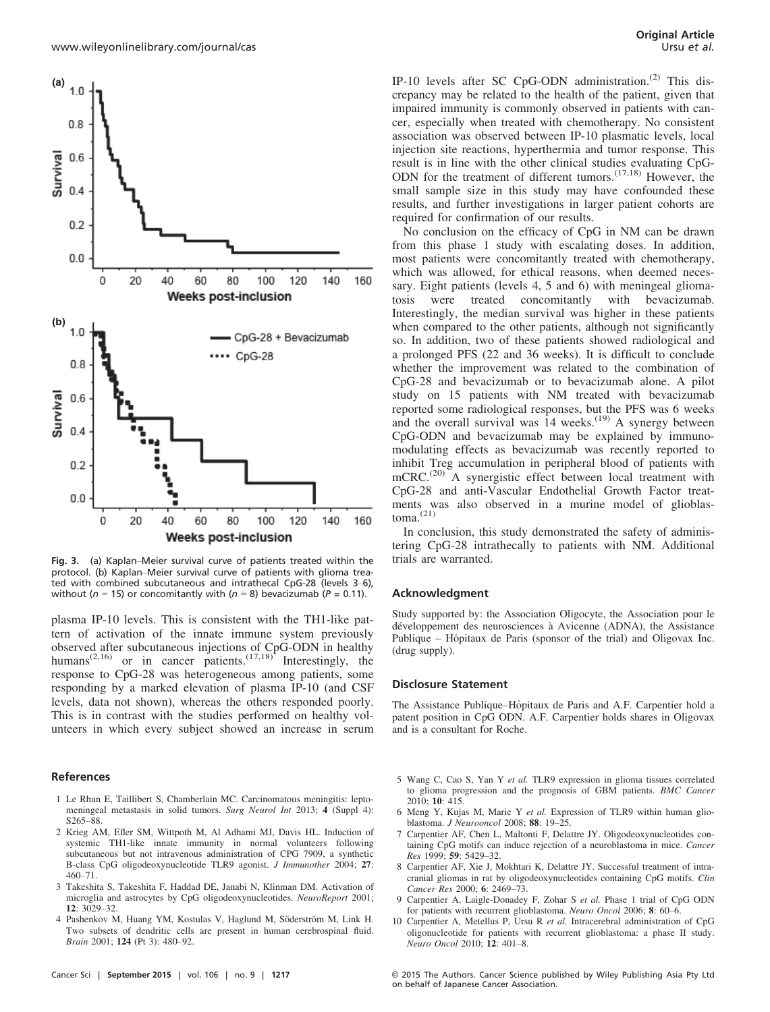

Fig. 3. (a) Kaplan–Meier survival curve of patients treated within the protocol. (b) Kaplan–Meier survival curve of patients with glioma treated with combined subcutaneous and intrathecal CpG-28 (levels 3–6), without ( $n = 15$ ) or concomitantly with ( $n = 8$ ) bevacizumab ( $P = 0.11$ ).

plasma IP-10 levels. This is consistent with the TH1-like pattern of activation of the innate immune system previously observed after subcutaneous injections of CpG-ODN in healthy humans<sup>(2,16)</sup> or in cancer patients.<sup>(17,18)</sup> Interestingly, the response to CpG-28 was heterogeneous among patients, some responding by a marked elevation of plasma IP-10 (and CSF levels, data not shown), whereas the others responded poorly. This is in contrast with the studies performed on healthy volunteers in which every subject showed an increase in serum

### References

- 1 Le Rhun E, Taillibert S, Chamberlain MC. Carcinomatous meningitis: leptomeningeal metastasis in solid tumors. Surg Neurol Int 2013; 4 (Suppl 4): S265–88.
- 2 Krieg AM, Efler SM, Wittpoth M, Al Adhami MJ, Davis HL. Induction of systemic TH1-like innate immunity in normal volunteers following subcutaneous but not intravenous administration of CPG 7909, a synthetic B-class CpG oligodeoxynucleotide TLR9 agonist. J Immunother 2004; 27: 460–71.
- 3 Takeshita S, Takeshita F, Haddad DE, Janabi N, Klinman DM. Activation of microglia and astrocytes by CpG oligodeoxynucleotides. NeuroReport 2001;  $12 \cdot 3029 - 32$
- 4 Pashenkov M, Huang YM, Kostulas V, Haglund M, Söderström M, Link H. Two subsets of dendritic cells are present in human cerebrospinal fluid. Brain 2001; 124 (Pt 3): 480–92.

IP-10 levels after SC CpG-ODN administration.<sup>(2)</sup> This discrepancy may be related to the health of the patient, given that impaired immunity is commonly observed in patients with cancer, especially when treated with chemotherapy. No consistent association was observed between IP-10 plasmatic levels, local injection site reactions, hyperthermia and tumor response. This result is in line with the other clinical studies evaluating CpG-ODN for the treatment of different tumors.<sup>(17,18)</sup> However, the small sample size in this study may have confounded these results, and further investigations in larger patient cohorts are required for confirmation of our results.

No conclusion on the efficacy of CpG in NM can be drawn from this phase 1 study with escalating doses. In addition, most patients were concomitantly treated with chemotherapy, which was allowed, for ethical reasons, when deemed necessary. Eight patients (levels 4, 5 and 6) with meningeal gliomatosis were treated concomitantly with bevacizumab. Interestingly, the median survival was higher in these patients when compared to the other patients, although not significantly so. In addition, two of these patients showed radiological and a prolonged PFS (22 and 36 weeks). It is difficult to conclude whether the improvement was related to the combination of CpG-28 and bevacizumab or to bevacizumab alone. A pilot study on 15 patients with NM treated with bevacizumab reported some radiological responses, but the PFS was 6 weeks and the overall survival was  $14$  weeks.<sup>(19)</sup> A synergy between CpG-ODN and bevacizumab may be explained by immunomodulating effects as bevacizumab was recently reported to inhibit Treg accumulation in peripheral blood of patients with mCRC.<sup>(20)</sup> A synergistic effect between local treatment with CpG-28 and anti-Vascular Endothelial Growth Factor treatments was also observed in a murine model of glioblas $toma.$ <sup>(21)</sup>

In conclusion, this study demonstrated the safety of administering CpG-28 intrathecally to patients with NM. Additional trials are warranted.

#### Acknowledgment

Study supported by: the Association Oligocyte, the Association pour le développement des neurosciences à Avicenne (ADNA), the Assistance Publique – Hôpitaux de Paris (sponsor of the trial) and Oligovax Inc. (drug supply).

#### Disclosure Statement

The Assistance Publique–H^opitaux de Paris and A.F. Carpentier hold a patent position in CpG ODN. A.F. Carpentier holds shares in Oligovax and is a consultant for Roche.

- 5 Wang C, Cao S, Yan Y et al. TLR9 expression in glioma tissues correlated to glioma progression and the prognosis of GBM patients. BMC Cancer 2010; 10: 415.
- 6 Meng Y, Kujas M, Marie Y et al. Expression of TLR9 within human glioblastoma. J Neurooncol 2008; 88: 19–25.
- 7 Carpentier AF, Chen L, Maltonti F, Delattre JY. Oligodeoxynucleotides containing CpG motifs can induce rejection of a neuroblastoma in mice. Cancer Res 1999; 59: 5429–32.
- 8 Carpentier AF, Xie J, Mokhtari K, Delattre JY. Successful treatment of intracranial gliomas in rat by oligodeoxynucleotides containing CpG motifs. Clin Cancer Res 2000; 6: 2469–73.
- 9 Carpentier A, Laigle-Donadey F, Zohar S et al. Phase 1 trial of CpG ODN for patients with recurrent glioblastoma. Neuro Oncol 2006; 8: 60–6.
- 10 Carpentier A, Metellus P, Ursu R et al. Intracerebral administration of CpG oligonucleotide for patients with recurrent glioblastoma: a phase II study. Neuro Oncol 2010; 12: 401–8.

Cancer Sci | September 2015 | vol. 106 | no. 9 | 1217 © 2015 The Authors. Cancer Science published by Wiley Publishing Asia Pty Ltd on behalf of Japanese Cancer Association.